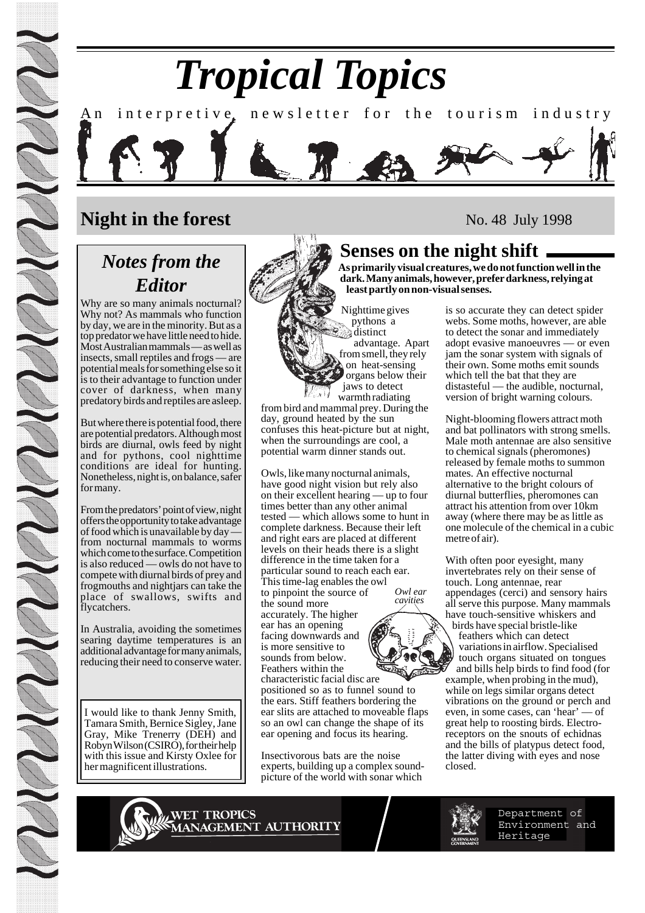# *Tropical Topics* An interpretive, newsletter for the tourism industry

## **Night in the forest**

## *Notes from the Editor*

Why are so many animals nocturnal? Why not? As mammals who function by day, we are in the minority. But as a top predator we have little need to hide. Most Australian mammals — as well as insects, small reptiles and frogs — are potential meals for something else so it is to their advantage to function under cover of darkness, when many predatory birds and reptiles are asleep.

But where there is potential food, there are potential predators. Although most birds are diurnal, owls feed by night and for pythons, cool nighttime conditions are ideal for hunting. Nonetheless, night is, on balance, safer for many.

From the predators' point of view, night offers the opportunity to take advantage of food which is unavailable by day from nocturnal mammals to worms which come to the surface. Competition is also reduced — owls do not have to compete with diurnal birds of prey and frogmouths and nightjars can take the place of swallows, swifts and flycatchers.

In Australia, avoiding the sometimes searing daytime temperatures is an additional advantage for many animals, reducing their need to conserve water.

I would like to thank Jenny Smith, Tamara Smith, Bernice Sigley, Jane Gray, Mike Trenerry (DEH) and Robyn Wilson (CSIRO), for their help with this issue and Kirsty Oxlee for her magnificent illustrations.



No. 48 July 1998

### **Senses on the night shift**

**As primarily visual creatures, we do not function well in the dark. Many animals, however, prefer darkness, relying at least partly on non-visual senses.**

Nighttime gives pythons a distinct advantage. Apart from smell, they rely on heat-sensing organs below their jaws to detect warmth radiating

from bird and mammal prey. During the day, ground heated by the sun confuses this heat-picture but at night, when the surroundings are cool, a potential warm dinner stands out.

Owls, like many nocturnal animals, have good night vision but rely also on their excellent hearing — up to four times better than any other animal tested — which allows some to hunt in complete darkness. Because their left and right ears are placed at different levels on their heads there is a slight difference in the time taken for a particular sound to reach each ear. This time-lag enables the owl to pinpoint the source of the sound more accurately. The higher ear has an opening facing downwards and is more sensitive to sounds from below. Feathers within the *Owl ear cavities*

characteristic facial disc are positioned so as to funnel sound to the ears. Stiff feathers bordering the ear slits are attached to moveable flaps so an owl can change the shape of its ear opening and focus its hearing.

Insectivorous bats are the noise experts, building up a complex soundpicture of the world with sonar which

is so accurate they can detect spider webs. Some moths, however, are able to detect the sonar and immediately adopt evasive manoeuvres — or even jam the sonar system with signals of their own. Some moths emit sounds which tell the bat that they are distasteful — the audible, nocturnal, version of bright warning colours.

Night-blooming flowers attract moth and bat pollinators with strong smells. Male moth antennae are also sensitive to chemical signals (pheromones) released by female moths to summon mates. An effective nocturnal alternative to the bright colours of diurnal butterflies, pheromones can attract his attention from over 10km away (where there may be as little as one molecule of the chemical in a cubic metre of air).

With often poor eyesight, many invertebrates rely on their sense of touch. Long antennae, rear appendages (cerci) and sensory hairs all serve this purpose. Many mammals have touch-sensitive whiskers and birds have special bristle-like feathers which can detect variations in airflow. Specialised touch organs situated on tongues and bills help birds to find food (for example, when probing in the mud), while on legs similar organs detect vibrations on the ground or perch and even, in some cases, can 'hear' — of great help to roosting birds. Electroreceptors on the snouts of echidnas and the bills of platypus detect food, the latter diving with eyes and nose closed.

WET TROPICS<br>WANAGEMENT AUTHORITY



Department of Environment and Heritage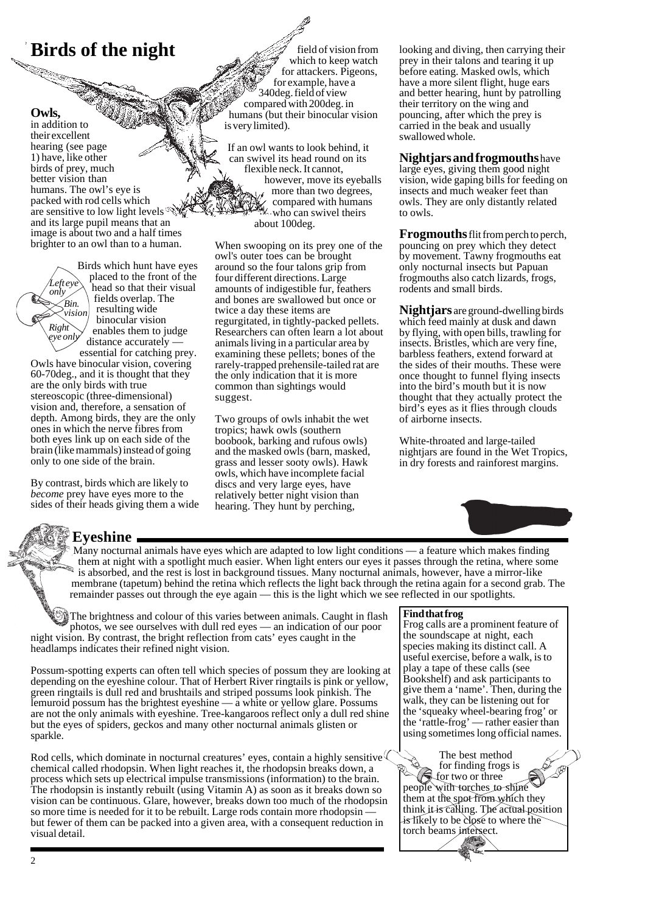# **Birds of the night**

#### **Owls,**

*Right*

*Left eye only*

in addition to their excellent hearing (see page 1) have, like other birds of prey, much better vision than humans. The owl's eye is packed with rod cells which are sensitive to low light levels  $\mathcal{R}$ and its large pupil means that an image is about two and a half times brighter to an owl than to a human.

> Birds which hunt have eyes placed to the front of the head so that their visual fields overlap. The resulting wide binocular vision enables them to judge distance accurately *Bin. vision eye only*

essential for catching prey. Owls have binocular vision, covering 60-70deg., and it is thought that they are the only birds with true stereoscopic (three-dimensional) vision and, therefore, a sensation of depth. Among birds, they are the only ones in which the nerve fibres from both eyes link up on each side of the brain (like mammals) instead of going only to one side of the brain.

By contrast, birds which are likely to *become* prey have eyes more to the sides of their heads giving them a wide

field of vision from which to keep watch for attackers. Pigeons, for example, have a 340deg. field of view compared with 200deg. in humans (but their binocular vision is very limited).

If an owl wants to look behind, it can swivel its head round on its flexible neck. It cannot, however, move its eyeballs more than two degrees, compared with humans **W** who can swivel theirs about 100deg.

When swooping on its prey one of the owl's outer toes can be brought around so the four talons grip from four different directions. Large amounts of indigestible fur, feathers and bones are swallowed but once or twice a day these items are regurgitated, in tightly-packed pellets. Researchers can often learn a lot about animals living in a particular area by examining these pellets; bones of the rarely-trapped prehensile-tailed rat are the only indication that it is more common than sightings would suggest.

Two groups of owls inhabit the wet tropics; hawk owls (southern boobook, barking and rufous owls) and the masked owls (barn, masked, grass and lesser sooty owls). Hawk owls, which have incomplete facial discs and very large eyes, have relatively better night vision than hearing. They hunt by perching,

looking and diving, then carrying their prey in their talons and tearing it up before eating. Masked owls, which have a more silent flight, huge ears and better hearing, hunt by patrolling their territory on the wing and pouncing, after which the prey is carried in the beak and usually swallowed whole.

**Nightjars and frogmouths** have large eyes, giving them good night vision, wide gaping bills for feeding on insects and much weaker feet than owls. They are only distantly related to owls.

**Frogmouths**flit from perch to perch, pouncing on prey which they detect by movement. Tawny frogmouths eat only nocturnal insects but Papuan frogmouths also catch lizards, frogs, rodents and small birds.

**Nightjars** are ground-dwelling birds which feed mainly at dusk and dawn by flying, with open bills, trawling for insects. Bristles, which are very fine, barbless feathers, extend forward at the sides of their mouths. These were once thought to funnel flying insects into the bird's mouth but it is now thought that they actually protect the bird's eyes as it flies through clouds of airborne insects.

White-throated and large-tailed nightjars are found in the Wet Tropics, in dry forests and rainforest margins.



### **Eyeshine**

Many nocturnal animals have eyes which are adapted to low light conditions — a feature which makes finding them at night with a spotlight much easier. When light enters our eyes it passes through the retina, where some is absorbed, and the rest is lost in background tissues. Many nocturnal animals, however, have a mirror-like membrane (tapetum) behind the retina which reflects the light back through the retina again for a second grab. The remainder passes out through the eye again — this is the light which we see reflected in our spotlights.

The brightness and colour of this varies between animals. Caught in flash photos, we see ourselves with dull red eyes — an indication of our poor night vision. By contrast, the bright reflection from cats' eyes caught in the headlamps indicates their refined night vision.

Possum-spotting experts can often tell which species of possum they are looking at depending on the eyeshine colour. That of Herbert River ringtails is pink or yellow, green ringtails is dull red and brushtails and striped possums look pinkish. The lemuroid possum has the brightest eyeshine  $-\overline{a}$  white or yellow glare. Possums are not the only animals with eyeshine. Tree-kangaroos reflect only a dull red shine but the eyes of spiders, geckos and many other nocturnal animals glisten or sparkle.

Rod cells, which dominate in nocturnal creatures' eyes, contain a highly sensitive chemical called rhodopsin. When light reaches it, the rhodopsin breaks down, a process which sets up electrical impulse transmissions (information) to the brain. The rhodopsin is instantly rebuilt (using Vitamin A) as soon as it breaks down so vision can be continuous. Glare, however, breaks down too much of the rhodopsin so more time is needed for it to be rebuilt. Large rods contain more rhodopsin but fewer of them can be packed into a given area, with a consequent reduction in visual detail.

#### **Find that frog**

Frog calls are a prominent feature of the soundscape at night, each species making its distinct call. A useful exercise, before a walk, is to play a tape of these calls (see Bookshelf) and ask participants to give them a 'name'. Then, during the walk, they can be listening out for the 'squeaky wheel-bearing frog' or the 'rattle-frog' — rather easier than using sometimes long official names.

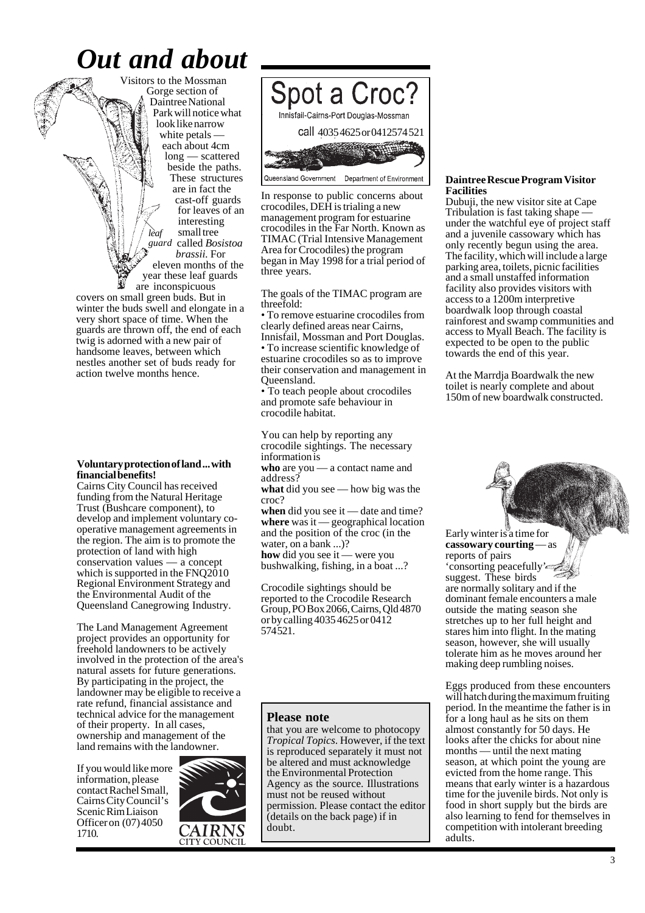## *Out and about*

Visitors to the Mossman Gorge section of Daintree National Park will notice what look like narrow white petals each about 4cm long — scattered beside the paths. These structures are in fact the cast-off guards for leaves of an interesting small tree called *Bosistoa brassii.* For eleven months of the year these leaf guards *leaf guard*

are inconspicuous covers on small green buds. But in winter the buds swell and elongate in a very short space of time. When the guards are thrown off, the end of each twig is adorned with a new pair of handsome leaves, between which nestles another set of buds ready for action twelve months hence.

#### **Voluntary protection of land ... with financial benefits!**

Cairns City Council has received funding from the Natural Heritage Trust (Bushcare component), to develop and implement voluntary cooperative management agreements in the region. The aim is to promote the protection of land with high conservation values — a concept which is supported in the FNQ2010 Regional Environment Strategy and the Environmental Audit of the Queensland Canegrowing Industry.

The Land Management Agreement project provides an opportunity for freehold landowners to be actively involved in the protection of the area's natural assets for future generations. By participating in the project, the landowner may be eligible to receive a rate refund, financial assistance and technical advice for the management of their property. In all cases, ownership and management of the land remains with the landowner.

If you would like more information, please contact Rachel Small, Cairns City Council's Scenic Rim Liaison Officer on (07) 4050 1710.





In response to public concerns about crocodiles, DEH is trialing a new management program for estuarine crocodiles in the Far North. Known as TIMAC (Trial Intensive Management Area for Crocodiles) the program began in May 1998 for a trial period of three years.

The goals of the TIMAC program are threefold:

• To remove estuarine crocodiles from clearly defined areas near Cairns, Innisfail, Mossman and Port Douglas. • To increase scientific knowledge of estuarine crocodiles so as to improve their conservation and management in Queensland.

• To teach people about crocodiles and promote safe behaviour in crocodile habitat.

You can help by reporting any crocodile sightings. The necessary information is

**who** are you — a contact name and address?

**what** did you see — how big was the croc?

**when** did you see it — date and time? **where** was it — geographical location and the position of the croc (in the water, on a bank ...)?

**how** did you see it — were you bushwalking, fishing, in a boat ...?

Crocodile sightings should be reported to the Crocodile Research Group, PO Box 2066, Cairns, Qld 4870 or by calling 4035 4625 or 0412 574 521.

#### **Please note**

that you are welcome to photocopy *Tropical Topics*. However, if the text is reproduced separately it must not be altered and must acknowledge the Environmental Protection Agency as the source. Illustrations must not be reused without permission. Please contact the editor (details on the back page) if in doubt.

#### **Daintree Rescue Program Visitor Facilities**

Dubuji, the new visitor site at Cape Tribulation is fast taking shape under the watchful eye of project staff and a juvenile cassowary which has only recently begun using the area. The facility, which will include a large parking area, toilets, picnic facilities and a small unstaffed information facility also provides visitors with access to a 1200m interpretive boardwalk loop through coastal rainforest and swamp communities and access to Myall Beach. The facility is expected to be open to the public towards the end of this year.

At the Marrdja Boardwalk the new toilet is nearly complete and about 150m of new boardwalk constructed.



Early winter is a time for<br>cassowary courting  $\equiv$  as cassowary courting reports of pairs 'consorting peacefully' suggest. These birds are normally solitary and if the dominant female encounters a male outside the mating season she stretches up to her full height and stares him into flight. In the mating season, however, she will usually tolerate him as he moves around her making deep rumbling noises.

Eggs produced from these encounters will hatch during the maximum fruiting period. In the meantime the father is in for a long haul as he sits on them almost constantly for 50 days. He looks after the chicks for about nine months — until the next mating season, at which point the young are evicted from the home range. This means that early winter is a hazardous time for the juvenile birds. Not only is food in short supply but the birds are also learning to fend for themselves in competition with intolerant breeding adults.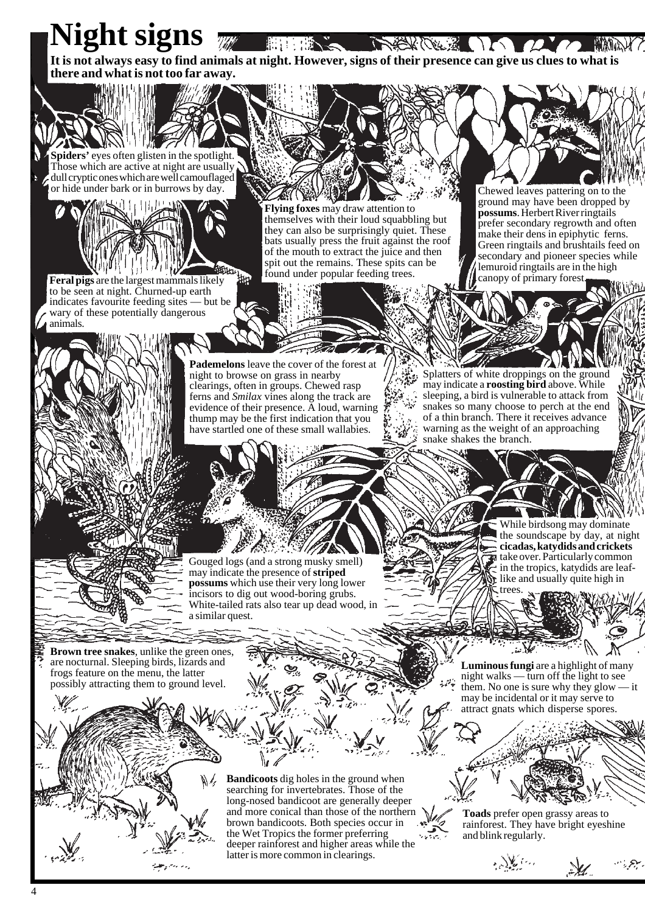**Night signs** NEWCER OF 12 10 **HELLER HARRY It is not always easy to find animals at night. However, signs of their presence can give us clues to what is there and what is not too far away.**

**Spiders'** eyes often glisten in the spotlight. Those which are active at night are usually dull cryptic ones which are well camouflaged or hide under bark or in burrows by day.

**Feral pigs** are the largest mammals likely to be seen at night. Churned-up earth indicates favourite feeding sites — but be wary of these potentially dangerous animals.

**Flying foxes** may draw attention to themselves with their loud squabbling but they can also be surprisingly quiet. These bats usually press the fruit against the roof of the mouth to extract the juice and then spit out the remains. These spits can be found under popular feeding trees.

أور

Chewed leaves pattering on to the ground may have been dropped by **possums**. Herbert River ringtails prefer secondary regrowth and often make their dens in epiphytic ferns. Green ringtails and brushtails feed on secondary and pioneer species while lemuroid ringtails are in the high canopy of primary forest.

**Pademelons** leave the cover of the forest at night to browse on grass in nearby clearings, often in groups. Chewed rasp ferns and *Smilax* vines along the track are evidence of their presence.  $\tilde{A}$  loud, warning thump may be the first indication that you have startled one of these small wallabies.

Splatters of white droppings on the ground may indicate a **roosting bird** above. While sleeping, a bird is vulnerable to attack from snakes so many choose to perch at the end of a thin branch. There it receives advance warning as the weight of an approaching snake shakes the branch.

Gouged logs (and a strong musky smell) may indicate the presence of **striped possums** which use their very long lower incisors to dig out wood-boring grubs. White-tailed rats also tear up dead wood, in a similar quest.

While birdsong may dominate the soundscape by day, at night **cicadas, katydids and crickets take over. Particularly common** in the tropics, katydids are leaflike and usually quite high in trees.

**Brown tree snakes**, unlike the green ones, are nocturnal. Sleeping birds, lizards and frogs feature on the menu, the latter possibly attracting them to ground level.

**Bandicoots** dig holes in the ground when searching for invertebrates. Those of the long-nosed bandicoot are generally deeper and more conical than those of the northern brown bandicoots. Both species occur in the Wet Tropics the former preferring deeper rainforest and higher areas while the latter is more common in clearings.

**Luminous fungi** are a highlight of many night walks — turn off the light to see them. No one is sure why they glow — it may be incidental or it may serve to attract gnats which disperse spores.

**Toads** prefer open grassy areas to rainforest. They have bright eyeshine and blink regularly.

 $\mathscr{L}$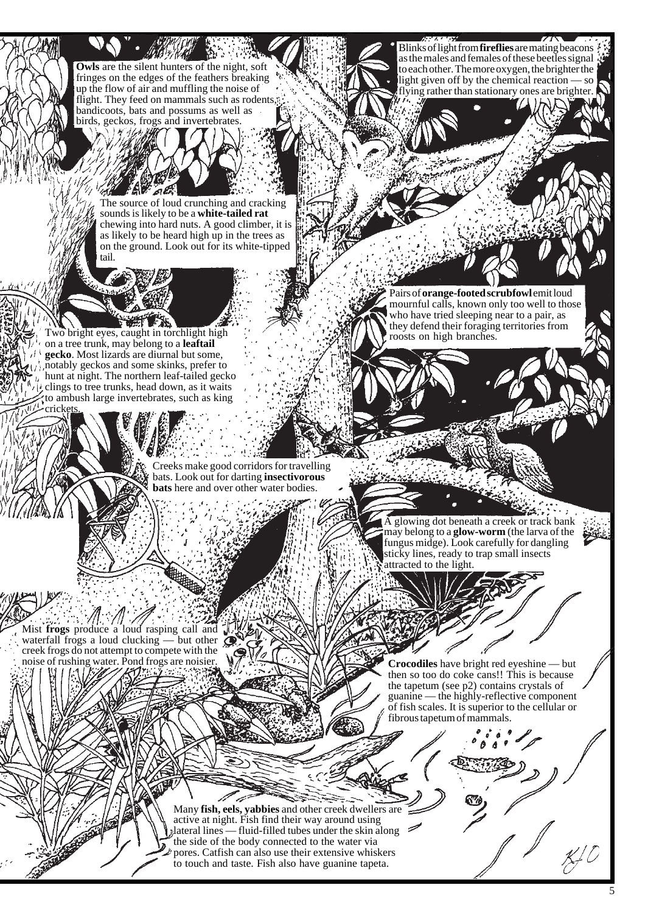**Owls** are the silent hunters of the night, soft fringes on the edges of the feathers breaking up the flow of air and muffling the noise of flight. They feed on mammals such as rodents bandicoots, bats and possums as well as birds, geckos, frogs and invertebrates.

> The source of loud crunching and cracking sounds is likely to be a **white-tailed rat** chewing into hard nuts. A good climber, it is as likely to be heard high up in the trees as on the ground. Look out for its white-tipped tail.

Two bright eyes, caught in torchlight high on a tree trunk, may belong to a **leaftail gecko**. Most lizards are diurnal but some, notably geckos and some skinks, prefer to hunt at night. The northern leaf-tailed gecko clings to tree trunks, head down, as it waits to ambush large invertebrates, such as king cricket

> Creeks make good corridors for travelling bats. Look out for darting **insectivorous bats** here and over other water bodies.

Mist **frogs** produce a loud rasping call and waterfall frogs a loud clucking — but other creek frogs do not attempt to compete with the noise of rushing water. Pond frogs are noisier.

Blinks of light from **fireflies** are mating beacons as the males and females of these beetles signal to each other. The more oxygen, the brighter the light given off by the chemical reaction — so flying rather than stationary ones are brighter.

Pairs of **orange-footed scrubfowl** emit loud mournful calls, known only too well to those who have tried sleeping near to a pair, as they defend their foraging territories from roosts on high branches.

A glowing dot beneath a creek or track bank may belong to a **glow-worm** (the larva of the fungus midge). Look carefully for dangling sticky lines, ready to trap small insects attracted to the light.

**Crocodiles** have bright red eyeshine — but then so too do coke cans!! This is because the tapetum (see p2) contains crystals of guanine — the highly-reflective component of fish scales. It is superior to the cellular or fibrous tapetum of mammals.

Many **fish, eels, yabbies** and other creek dwellers are active at night. Fish find their way around using lateral lines — fluid-filled tubes under the skin along the side of the body connected to the water via pores. Catfish can also use their extensive whiskers to touch and taste. Fish also have guanine tapeta.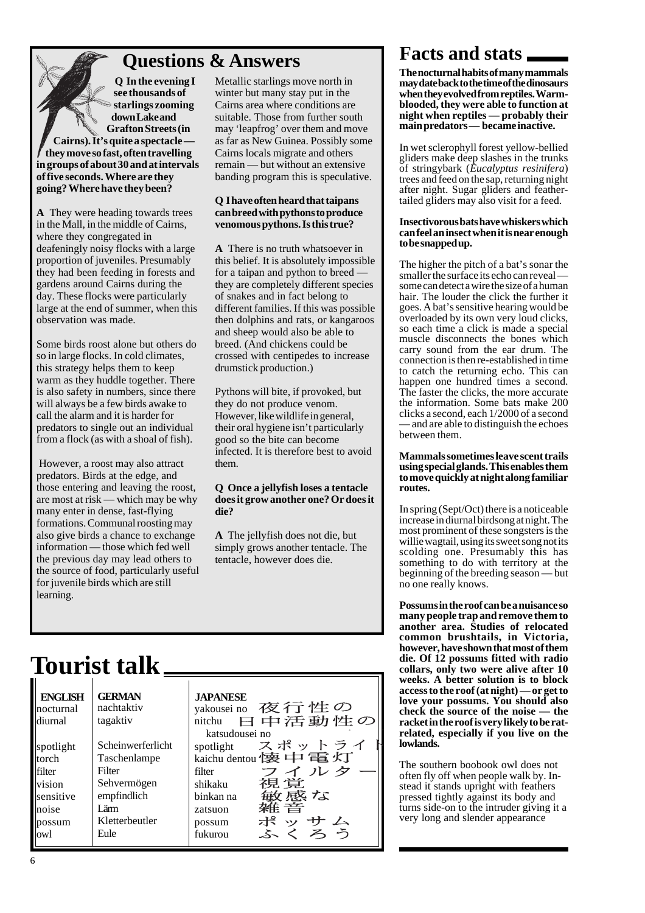## **Questions & Answers Facts and stats**

**Q In the evening I see thousands of starlings zooming down Lake and Grafton Streets (in Cairns). It's quite a spectacle they move so fast, often travelling in groups of about 30 and at intervals of five seconds. Where are they going? Where have they been?**

**A** They were heading towards trees in the Mall, in the middle of Cairns, where they congregated in deafeningly noisy flocks with a large proportion of juveniles. Presumably they had been feeding in forests and gardens around Cairns during the day. These flocks were particularly large at the end of summer, when this observation was made.

Some birds roost alone but others do so in large flocks. In cold climates, this strategy helps them to keep warm as they huddle together. There is also safety in numbers, since there will always be a few birds awake to call the alarm and it is harder for predators to single out an individual from a flock (as with a shoal of fish).

 However, a roost may also attract predators. Birds at the edge, and those entering and leaving the roost, are most at risk — which may be why many enter in dense, fast-flying formations. Communal roosting may also give birds a chance to exchange information — those which fed well the previous day may lead others to the source of food, particularly useful for juvenile birds which are still learning.

Metallic starlings move north in winter but many stay put in the Cairns area where conditions are suitable. Those from further south may 'leapfrog' over them and move as far as New Guinea. Possibly some Cairns locals migrate and others remain — but without an extensive banding program this is speculative.

#### **Q I have often heard that taipans can breed with pythons to produce venomous pythons. Is this true?**

**A** There is no truth whatsoever in this belief. It is absolutely impossible for a taipan and python to breed they are completely different species of snakes and in fact belong to different families. If this was possible then dolphins and rats, or kangaroos and sheep would also be able to breed. (And chickens could be crossed with centipedes to increase drumstick production.)

Pythons will bite, if provoked, but they do not produce venom. However, like wildlife in general, their oral hygiene isn't particularly good so the bite can become infected. It is therefore best to avoid them.

#### **Q Once a jellyfish loses a tentacle does it grow another one? Or does it die?**

**A** The jellyfish does not die, but simply grows another tentacle. The tentacle, however does die.

# **Tourist talk**

| <b>ENGLISH</b><br>nocturnal<br>diurnal | <b>GERMAN</b><br>nachtaktiv<br>tagaktiv | <b>JAPANESE</b><br>yakousei no 夜行性の<br>日中活動性の<br>nitchu<br>katsudousei no |
|----------------------------------------|-----------------------------------------|---------------------------------------------------------------------------|
| spotlight                              | Scheinwerferlicht                       | spotlight スポットライ                                                          |
| torch                                  | Taschenlampe                            | kaichu dentou 懐中電灯                                                        |
| filter                                 | Filter                                  | フイルタ<br>filter                                                            |
| vision                                 | Sehvermögen                             | 視覚<br>shikaku                                                             |
| sensitive                              | empfindlich                             | 敏感な<br>binkan na                                                          |
| noise                                  | Lärm                                    | 雑 音<br>zatsuon                                                            |
| possum                                 | Kletterbeutler                          | ポッサム<br>possum                                                            |
| owl                                    | Eule                                    | くろう<br>fukurou                                                            |

**The nocturnal habits of many mammals may date back to the time of the dinosaurs when they evolved from reptiles. Warmblooded, they were able to function at night when reptiles — probably their main predators — became inactive.**

In wet sclerophyll forest yellow-bellied gliders make deep slashes in the trunks of stringybark (*Eucalyptus resinifera*) trees and feed on the sap, returning night after night. Sugar gliders and feathertailed gliders may also visit for a feed.

#### **Insectivorous bats have whiskers which can feel an insect when it is near enough to be snapped up.**

The higher the pitch of a bat's sonar the smaller the surface its echo can reveal some can detect a wire the size of a human hair. The louder the click the further it goes. A bat's sensitive hearing would be overloaded by its own very loud clicks, so each time a click is made a special muscle disconnects the bones which carry sound from the ear drum. The connection is then re-established in time to catch the returning echo. This can happen one hundred times a second. The faster the clicks, the more accurate the information. Some bats make 200 clicks a second, each 1/2000 of a second — and are able to distinguish the echoes between them.

#### **Mammals sometimes leave scent trails using special glands. This enables them to move quickly at night along familiar routes.**

In spring (Sept/Oct) there is a noticeable increase in diurnal birdsong at night. The most prominent of these songsters is the willie wagtail, using its sweet song not its scolding one. Presumably this has something to do with territory at the beginning of the breeding season — but no one really knows.

**Possums in the roof can be a nuisance so many people trap and remove them to another area. Studies of relocated common brushtails, in Victoria, however, have shown that most of them die. Of 12 possums fitted with radio collars, only two were alive after 10 weeks. A better solution is to block access to the roof (at night) — or get to love your possums. You should also check the source of the noise — the racket in the roof is very likely to be ratrelated, especially if you live on the lowlands.**

The southern boobook owl does not often fly off when people walk by. Instead it stands upright with feathers pressed tightly against its body and turns side-on to the intruder giving it a very long and slender appearance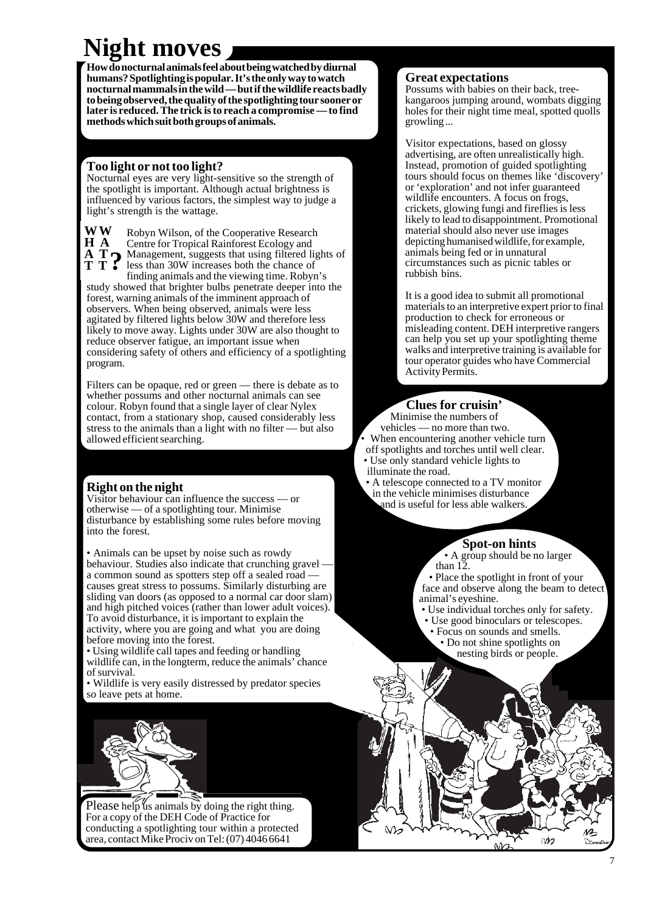## **Night moves**

**How do nocturnal animals feel about being watched by diurnal humans? Spotlighting is popular. It's the only way to watch nocturnal mammals in the wild — but if the wildlife reacts badly to being observed, the quality of the spotlighting tour sooner or later is reduced. The trick is to reach a compromise — to find methods which suit both groups of animals.**

#### **Too light or not too light?**

Nocturnal eyes are very light-sensitive so the strength of the spotlight is important. Although actual brightness is influenced by various factors, the simplest way to judge a light's strength is the wattage.

**W W H A**

Robyn Wilson, of the Cooperative Research Centre for Tropical Rainforest Ecology and A **T**  $\bullet$  Management, suggests that using filtered lights of<br>**T T**  $\bullet$  less than 30W increases both the chance of<br>continuous property of the viewing time Bobun's less than 30W increases both the chance of finding animals and the viewing time. Robyn's

study showed that brighter bulbs penetrate deeper into the forest, warning animals of the imminent approach of observers. When being observed, animals were less agitated by filtered lights below 30W and therefore less likely to move away. Lights under 30W are also thought to reduce observer fatigue, an important issue when considering safety of others and efficiency of a spotlighting program.

Filters can be opaque, red or green — there is debate as to whether possums and other nocturnal animals can see colour. Robyn found that a single layer of clear Nylex contact, from a stationary shop, caused considerably less stress to the animals than a light with no filter — but also allowed efficient searching.

#### **Right on the night**

Visitor behaviour can influence the success — or otherwise — of a spotlighting tour. Minimise disturbance by establishing some rules before moving into the forest.

• Animals can be upset by noise such as rowdy behaviour. Studies also indicate that crunching gravel a common sound as spotters step off a sealed road causes great stress to possums. Similarly disturbing are sliding van doors (as opposed to a normal car door slam) and high pitched voices (rather than lower adult voices). To avoid disturbance, it is important to explain the activity, where you are going and what you are doing before moving into the forest.

• Using wildlife call tapes and feeding or handling wildlife can, in the longterm, reduce the animals' chance of survival.

• Wildlife is very easily distressed by predator species so leave pets at home.



Please help us animals by doing the right thing. For a copy of the DEH Code of Practice for conducting a spotlighting tour within a protected area, contact Mike Prociv on Tel: (07) 4046 6641

#### **Great expectations**

Possums with babies on their back, treekangaroos jumping around, wombats digging holes for their night time meal, spotted quolls growling ...

Visitor expectations, based on glossy advertising, are often unrealistically high. Instead, promotion of guided spotlighting tours should focus on themes like 'discovery' or 'exploration' and not infer guaranteed wildlife encounters. A focus on frogs, crickets, glowing fungi and fireflies is less likely to lead to disappointment. Promotional material should also never use images depicting humanised wildlife, for example, animals being fed or in unnatural circumstances such as picnic tables or rubbish bins.

It is a good idea to submit all promotional materials to an interpretive expert prior to final production to check for erroneous or misleading content. DEH interpretive rangers can help you set up your spotlighting theme walks and interpretive training is available for tour operator guides who have Commercial Activity Permits.

#### **Clues for cruisin'**

• Minimise the numbers of vehicles — no more than two. When encountering another vehicle turn off spotlights and torches until well clear. • Use only standard vehicle lights to

- illuminate the road.
- A telescope connected to a TV monitor in the vehicle minimises disturbance and is useful for less able walkers.

#### **Spot-on hints**

 • A group should be no larger than 12.

• Place the spotlight in front of your face and observe along the beam to detect animal's eyeshine.

- Use individual torches only for safety.
- Use good binoculars or telescopes. • Focus on sounds and smells. • Do not shine spotlights on nesting birds or people.

M